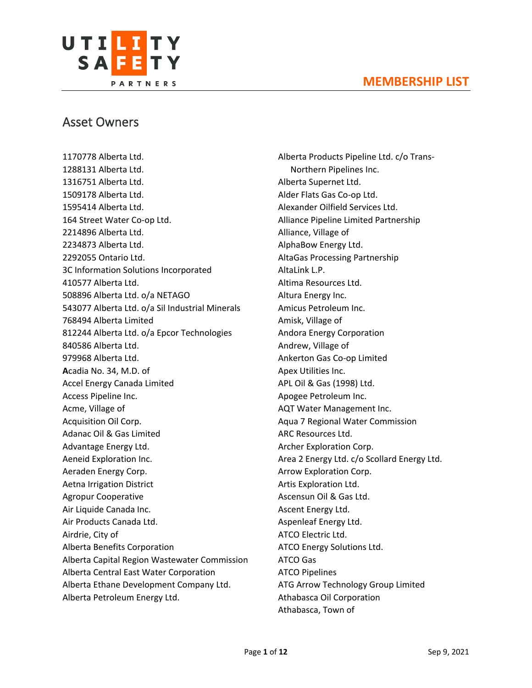

# Asset Owners

1170778 Alberta Ltd. 1288131 Alberta Ltd. 1316751 Alberta Ltd. 1509178 Alberta Ltd. 1595414 Alberta Ltd. 164 Street Water Co-op Ltd. 2214896 Alberta Ltd. 2234873 Alberta Ltd. 2292055 Ontario Ltd. 3C Information Solutions Incorporated 410577 Alberta Ltd. 508896 Alberta Ltd. o/a NETAGO 543077 Alberta Ltd. o/a Sil Industrial Minerals 768494 Alberta Limited 812244 Alberta Ltd. o/a Epcor Technologies 840586 Alberta Ltd. 979968 Alberta Ltd. **A**cadia No. 34, M.D. of Accel Energy Canada Limited Access Pipeline Inc. Acme, Village of Acquisition Oil Corp. Adanac Oil & Gas Limited Advantage Energy Ltd. Aeneid Exploration Inc. Aeraden Energy Corp. Aetna Irrigation District Agropur Cooperative Air Liquide Canada Inc. Air Products Canada Ltd. Airdrie, City of Alberta Benefits Corporation Alberta Capital Region Wastewater Commission Alberta Central East Water Corporation Alberta Ethane Development Company Ltd. Alberta Petroleum Energy Ltd.

Alberta Products Pipeline Ltd. c/o Trans-Northern Pipelines Inc. Alberta Supernet Ltd. Alder Flats Gas Co-op Ltd. Alexander Oilfield Services Ltd. Alliance Pipeline Limited Partnership Alliance, Village of AlphaBow Energy Ltd. AltaGas Processing Partnership AltaLink L.P. Altima Resources Ltd. Altura Energy Inc. Amicus Petroleum Inc. Amisk, Village of Andora Energy Corporation Andrew, Village of Ankerton Gas Co-op Limited Apex Utilities Inc. APL Oil & Gas (1998) Ltd. Apogee Petroleum Inc. AQT Water Management Inc. Aqua 7 Regional Water Commission ARC Resources Ltd. Archer Exploration Corp. Area 2 Energy Ltd. c/o Scollard Energy Ltd. Arrow Exploration Corp. Artis Exploration Ltd. Ascensun Oil & Gas Ltd. Ascent Energy Ltd. Aspenleaf Energy Ltd. ATCO Electric Ltd. ATCO Energy Solutions Ltd. ATCO Gas ATCO Pipelines ATG Arrow Technology Group Limited Athabasca Oil Corporation Athabasca, Town of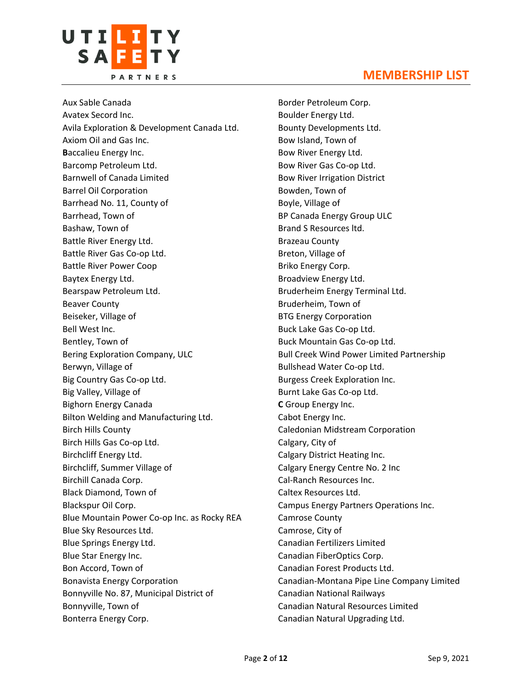

Aux Sable Canada Avatex Secord Inc. Avila Exploration & Development Canada Ltd. Axiom Oil and Gas Inc. **B**accalieu Energy Inc. Barcomp Petroleum Ltd. Barnwell of Canada Limited Barrel Oil Corporation Barrhead No. 11, County of Barrhead, Town of Bashaw, Town of Battle River Energy Ltd. Battle River Gas Co-op Ltd. Battle River Power Coop Baytex Energy Ltd. Bearspaw Petroleum Ltd. Beaver County Beiseker, Village of Bell West Inc. Bentley, Town of Bering Exploration Company, ULC Berwyn, Village of Big Country Gas Co-op Ltd. Big Valley, Village of Bighorn Energy Canada Bilton Welding and Manufacturing Ltd. Birch Hills County Birch Hills Gas Co-op Ltd. Birchcliff Energy Ltd. Birchcliff, Summer Village of Birchill Canada Corp. Black Diamond, Town of Blackspur Oil Corp. Blue Mountain Power Co-op Inc. as Rocky REA Blue Sky Resources Ltd. Blue Springs Energy Ltd. Blue Star Energy Inc. Bon Accord, Town of Bonavista Energy Corporation Bonnyville No. 87, Municipal District of Bonnyville, Town of Bonterra Energy Corp.

Border Petroleum Corp. Boulder Energy Ltd. Bounty Developments Ltd. Bow Island, Town of Bow River Energy Ltd. Bow River Gas Co-op Ltd. Bow River Irrigation District Bowden, Town of Boyle, Village of BP Canada Energy Group ULC Brand S Resources ltd. Brazeau County Breton, Village of Briko Energy Corp. Broadview Energy Ltd. Bruderheim Energy Terminal Ltd. Bruderheim, Town of BTG Energy Corporation Buck Lake Gas Co-op Ltd. Buck Mountain Gas Co-op Ltd. Bull Creek Wind Power Limited Partnership Bullshead Water Co-op Ltd. Burgess Creek Exploration Inc. Burnt Lake Gas Co-op Ltd. **C** Group Energy Inc. Cabot Energy Inc. Caledonian Midstream Corporation Calgary, City of Calgary District Heating Inc. Calgary Energy Centre No. 2 Inc Cal-Ranch Resources Inc. Caltex Resources Ltd. Campus Energy Partners Operations Inc. Camrose County Camrose, City of Canadian Fertilizers Limited Canadian FiberOptics Corp. Canadian Forest Products Ltd. Canadian-Montana Pipe Line Company Limited Canadian National Railways Canadian Natural Resources Limited Canadian Natural Upgrading Ltd.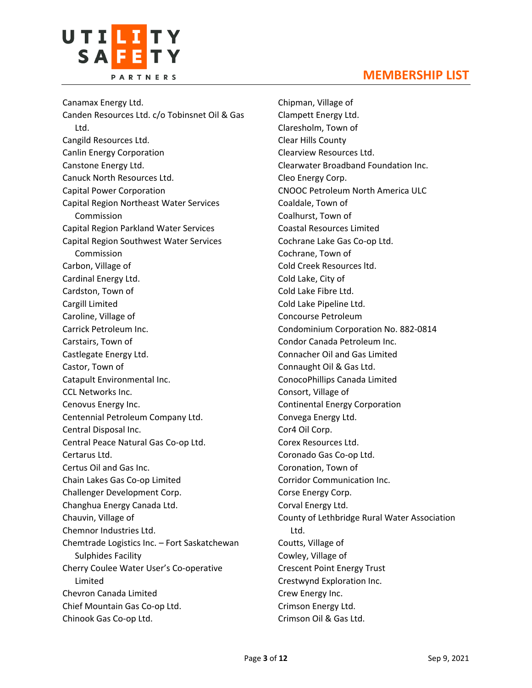

Canamax Energy Ltd. Canden Resources Ltd. c/o Tobinsnet Oil & Gas Ltd. Cangild Resources Ltd. Canlin Energy Corporation Canstone Energy Ltd. Canuck North Resources Ltd. Capital Power Corporation Capital Region Northeast Water Services Commission Capital Region Parkland Water Services Capital Region Southwest Water Services Commission Carbon, Village of Cardinal Energy Ltd. Cardston, Town of Cargill Limited Caroline, Village of Carrick Petroleum Inc. Carstairs, Town of Castlegate Energy Ltd. Castor, Town of Catapult Environmental Inc. CCL Networks Inc. Cenovus Energy Inc. Centennial Petroleum Company Ltd. Central Disposal Inc. Central Peace Natural Gas Co-op Ltd. Certarus Ltd. Certus Oil and Gas Inc. Chain Lakes Gas Co-op Limited Challenger Development Corp. Changhua Energy Canada Ltd. Chauvin, Village of Chemnor Industries Ltd. Chemtrade Logistics Inc. – Fort Saskatchewan Sulphides Facility Cherry Coulee Water User's Co-operative Limited Chevron Canada Limited Chief Mountain Gas Co-op Ltd. Chinook Gas Co-op Ltd.

Chipman, Village of Clampett Energy Ltd. Claresholm, Town of Clear Hills County Clearview Resources Ltd. Clearwater Broadband Foundation Inc. Cleo Energy Corp. CNOOC Petroleum North America ULC Coaldale, Town of Coalhurst, Town of Coastal Resources Limited Cochrane Lake Gas Co-op Ltd. Cochrane, Town of Cold Creek Resources ltd. Cold Lake, City of Cold Lake Fibre Ltd. Cold Lake Pipeline Ltd. Concourse Petroleum Condominium Corporation No. 882-0814 Condor Canada Petroleum Inc. Connacher Oil and Gas Limited Connaught Oil & Gas Ltd. ConocoPhillips Canada Limited Consort, Village of Continental Energy Corporation Convega Energy Ltd. Cor4 Oil Corp. Corex Resources Ltd. Coronado Gas Co-op Ltd. Coronation, Town of Corridor Communication Inc. Corse Energy Corp. Corval Energy Ltd. County of Lethbridge Rural Water Association Ltd. Coutts, Village of Cowley, Village of Crescent Point Energy Trust Crestwynd Exploration Inc. Crew Energy Inc. Crimson Energy Ltd. Crimson Oil & Gas Ltd.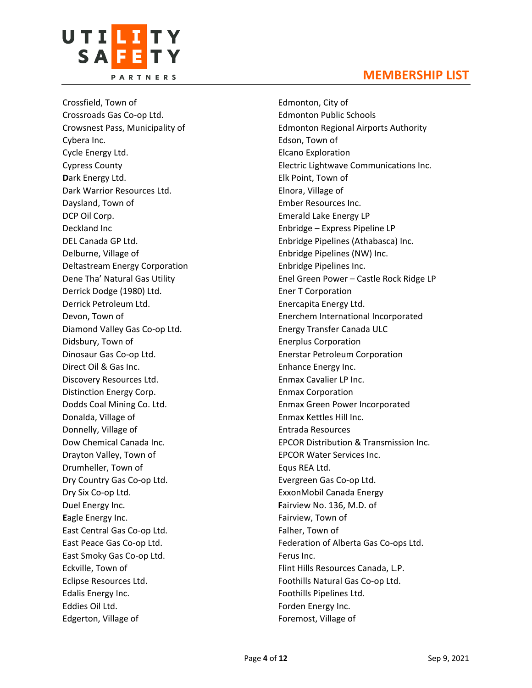

Crossfield, Town of Crossroads Gas Co-op Ltd. Crowsnest Pass, Municipality of Cybera Inc. Cycle Energy Ltd. Cypress County **D**ark Energy Ltd. Dark Warrior Resources Ltd. Daysland, Town of DCP Oil Corp. Deckland Inc DEL Canada GP Ltd. Delburne, Village of Deltastream Energy Corporation Dene Tha' Natural Gas Utility Derrick Dodge (1980) Ltd. Derrick Petroleum Ltd. Devon, Town of Diamond Valley Gas Co-op Ltd. Didsbury, Town of Dinosaur Gas Co-op Ltd. Direct Oil & Gas Inc. Discovery Resources Ltd. Distinction Energy Corp. Dodds Coal Mining Co. Ltd. Donalda, Village of Donnelly, Village of Dow Chemical Canada Inc. Drayton Valley, Town of Drumheller, Town of Dry Country Gas Co-op Ltd. Dry Six Co-op Ltd. Duel Energy Inc. **E**agle Energy Inc. East Central Gas Co-op Ltd. East Peace Gas Co-op Ltd. East Smoky Gas Co-op Ltd. Eckville, Town of Eclipse Resources Ltd. Edalis Energy Inc. Eddies Oil Ltd. Edgerton, Village of

Edmonton, City of Edmonton Public Schools Edmonton Regional Airports Authority Edson, Town of Elcano Exploration Electric Lightwave Communications Inc. Elk Point, Town of Elnora, Village of Ember Resources Inc. Emerald Lake Energy LP Enbridge – Express Pipeline LP Enbridge Pipelines (Athabasca) Inc. Enbridge Pipelines (NW) Inc. Enbridge Pipelines Inc. Enel Green Power – Castle Rock Ridge LP Ener T Corporation Enercapita Energy Ltd. Enerchem International Incorporated Energy Transfer Canada ULC Enerplus Corporation Enerstar Petroleum Corporation Enhance Energy Inc. Enmax Cavalier LP Inc. Enmax Corporation Enmax Green Power Incorporated Enmax Kettles Hill Inc. Entrada Resources EPCOR Distribution & Transmission Inc. EPCOR Water Services Inc. Equs REA Ltd. Evergreen Gas Co-op Ltd. ExxonMobil Canada Energy **F**airview No. 136, M.D. of Fairview, Town of Falher, Town of Federation of Alberta Gas Co-ops Ltd. Ferus Inc. Flint Hills Resources Canada, L.P. Foothills Natural Gas Co-op Ltd. Foothills Pipelines Ltd. Forden Energy Inc. Foremost, Village of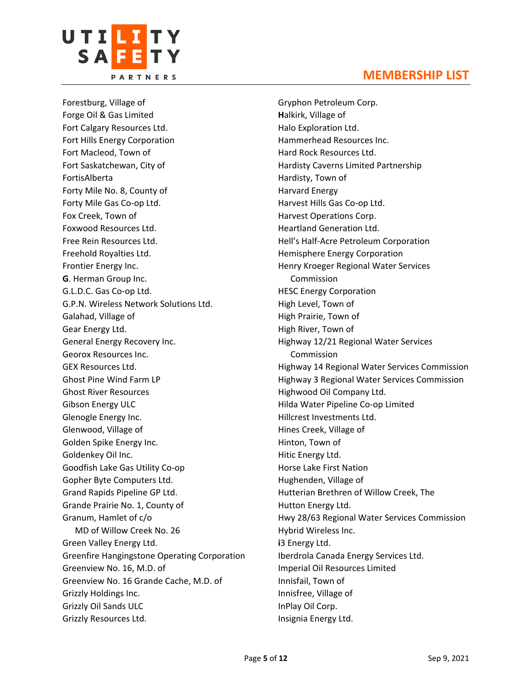

Forestburg, Village of Forge Oil & Gas Limited Fort Calgary Resources Ltd. Fort Hills Energy Corporation Fort Macleod, Town of Fort Saskatchewan, City of FortisAlberta Forty Mile No. 8, County of Forty Mile Gas Co-op Ltd. Fox Creek, Town of Foxwood Resources Ltd. Free Rein Resources Ltd. Freehold Royalties Ltd. Frontier Energy Inc. **G**. Herman Group Inc. G.L.D.C. Gas Co-op Ltd. G.P.N. Wireless Network Solutions Ltd. Galahad, Village of Gear Energy Ltd. General Energy Recovery Inc. Georox Resources Inc. GEX Resources Ltd. Ghost Pine Wind Farm LP Ghost River Resources Gibson Energy ULC Glenogle Energy Inc. Glenwood, Village of Golden Spike Energy Inc. Goldenkey Oil Inc. Goodfish Lake Gas Utility Co-op Gopher Byte Computers Ltd. Grand Rapids Pipeline GP Ltd. Grande Prairie No. 1, County of Granum, Hamlet of c/o MD of Willow Creek No. 26 Green Valley Energy Ltd. Greenfire Hangingstone Operating Corporation Greenview No. 16, M.D. of Greenview No. 16 Grande Cache, M.D. of Grizzly Holdings Inc. Grizzly Oil Sands ULC Grizzly Resources Ltd.

Gryphon Petroleum Corp. **H**alkirk, Village of Halo Exploration Ltd. Hammerhead Resources Inc. Hard Rock Resources Ltd. Hardisty Caverns Limited Partnership Hardisty, Town of Harvard Energy Harvest Hills Gas Co-op Ltd. Harvest Operations Corp. Heartland Generation Ltd. Hell's Half-Acre Petroleum Corporation Hemisphere Energy Corporation Henry Kroeger Regional Water Services Commission HESC Energy Corporation High Level, Town of High Prairie, Town of High River, Town of Highway 12/21 Regional Water Services Commission Highway 14 Regional Water Services Commission Highway 3 Regional Water Services Commission Highwood Oil Company Ltd. Hilda Water Pipeline Co-op Limited Hillcrest Investments Ltd. Hines Creek, Village of Hinton, Town of Hitic Energy Ltd. Horse Lake First Nation Hughenden, Village of Hutterian Brethren of Willow Creek, The Hutton Energy Ltd. Hwy 28/63 Regional Water Services Commission Hybrid Wireless Inc. **i**3 Energy Ltd. Iberdrola Canada Energy Services Ltd. Imperial Oil Resources Limited Innisfail, Town of Innisfree, Village of InPlay Oil Corp. Insignia Energy Ltd.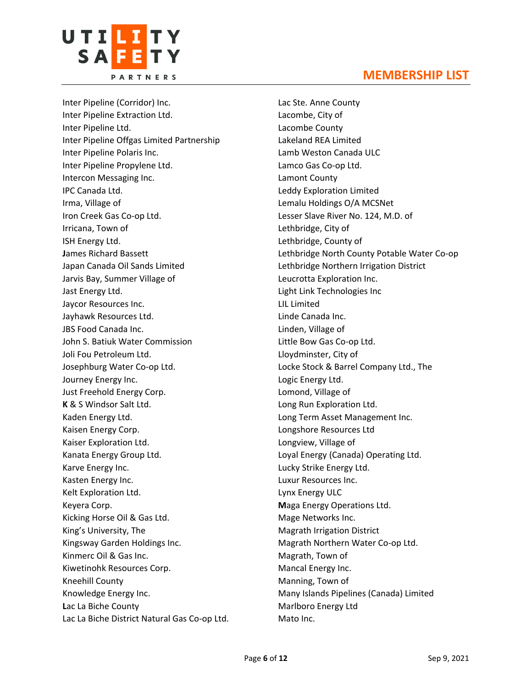

Inter Pipeline (Corridor) Inc. Inter Pipeline Extraction Ltd. Inter Pipeline Ltd. Inter Pipeline Offgas Limited Partnership Inter Pipeline Polaris Inc. Inter Pipeline Propylene Ltd. Intercon Messaging Inc. IPC Canada Ltd. Irma, Village of Iron Creek Gas Co-op Ltd. Irricana, Town of ISH Energy Ltd. **J**ames Richard Bassett Japan Canada Oil Sands Limited Jarvis Bay, Summer Village of Jast Energy Ltd. Jaycor Resources Inc. Jayhawk Resources Ltd. JBS Food Canada Inc. John S. Batiuk Water Commission Joli Fou Petroleum Ltd. Josephburg Water Co-op Ltd. Journey Energy Inc. Just Freehold Energy Corp. **K** & S Windsor Salt Ltd. Kaden Energy Ltd. Kaisen Energy Corp. Kaiser Exploration Ltd. Kanata Energy Group Ltd. Karve Energy Inc. Kasten Energy Inc. Kelt Exploration Ltd. Keyera Corp. Kicking Horse Oil & Gas Ltd. King's University, The Kingsway Garden Holdings Inc. Kinmerc Oil & Gas Inc. Kiwetinohk Resources Corp. Kneehill County Knowledge Energy Inc. **L**ac La Biche County Lac La Biche District Natural Gas Co-op Ltd. Lac Ste. Anne County Lacombe, City of Lacombe County Lakeland REA Limited Lamb Weston Canada ULC Lamco Gas Co-op Ltd. Lamont County Leddy Exploration Limited Lemalu Holdings O/A MCSNet Lesser Slave River No. 124, M.D. of Lethbridge, City of Lethbridge, County of Lethbridge North County Potable Water Co-op Lethbridge Northern Irrigation District Leucrotta Exploration Inc. Light Link Technologies Inc LIL Limited Linde Canada Inc. Linden, Village of Little Bow Gas Co-op Ltd. Lloydminster, City of Locke Stock & Barrel Company Ltd., The Logic Energy Ltd. Lomond, Village of Long Run Exploration Ltd. Long Term Asset Management Inc. Longshore Resources Ltd Longview, Village of Loyal Energy (Canada) Operating Ltd. Lucky Strike Energy Ltd. Luxur Resources Inc. Lynx Energy ULC **M**aga Energy Operations Ltd. Mage Networks Inc. Magrath Irrigation District Magrath Northern Water Co-op Ltd. Magrath, Town of Mancal Energy Inc. Manning, Town of Many Islands Pipelines (Canada) Limited Marlboro Energy Ltd Mato Inc.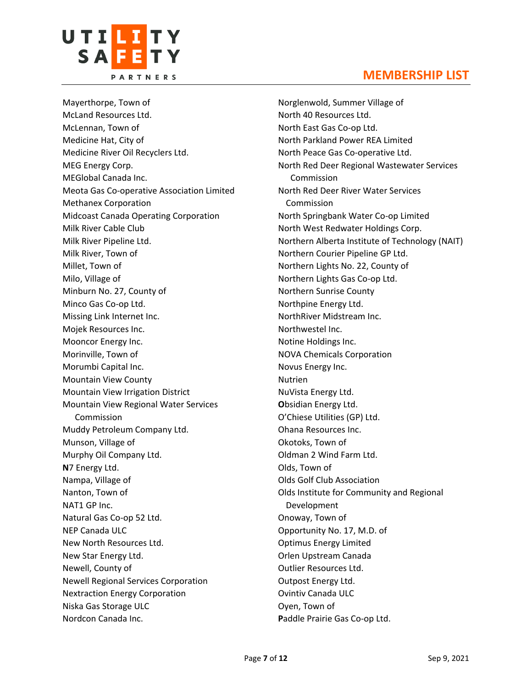

Mayerthorpe, Town of McLand Resources Ltd. McLennan, Town of Medicine Hat, City of Medicine River Oil Recyclers Ltd. MEG Energy Corp. MEGlobal Canada Inc. Meota Gas Co-operative Association Limited Methanex Corporation Midcoast Canada Operating Corporation Milk River Cable Club Milk River Pipeline Ltd. Milk River, Town of Millet, Town of Milo, Village of Minburn No. 27, County of Minco Gas Co-op Ltd. Missing Link Internet Inc. Mojek Resources Inc. Mooncor Energy Inc. Morinville, Town of Morumbi Capital Inc. Mountain View County Mountain View Irrigation District Mountain View Regional Water Services Commission Muddy Petroleum Company Ltd. Munson, Village of Murphy Oil Company Ltd. **N**7 Energy Ltd. Nampa, Village of Nanton, Town of NAT1 GP Inc. Natural Gas Co-op 52 Ltd. NEP Canada ULC New North Resources Ltd. New Star Energy Ltd. Newell, County of Newell Regional Services Corporation Nextraction Energy Corporation Niska Gas Storage ULC Nordcon Canada Inc.

#### **MEMBERSHIP LIST**

Norglenwold, Summer Village of North 40 Resources Ltd. North East Gas Co-op Ltd. North Parkland Power REA Limited North Peace Gas Co-operative Ltd. North Red Deer Regional Wastewater Services Commission North Red Deer River Water Services Commission North Springbank Water Co-op Limited North West Redwater Holdings Corp. Northern Alberta Institute of Technology (NAIT) Northern Courier Pipeline GP Ltd. Northern Lights No. 22, County of Northern Lights Gas Co-op Ltd. Northern Sunrise County Northpine Energy Ltd. NorthRiver Midstream Inc. Northwestel Inc. Notine Holdings Inc. NOVA Chemicals Corporation Novus Energy Inc. Nutrien NuVista Energy Ltd. **O**bsidian Energy Ltd. O'Chiese Utilities (GP) Ltd. Ohana Resources Inc. Okotoks, Town of Oldman 2 Wind Farm Ltd. Olds, Town of Olds Golf Club Association Olds Institute for Community and Regional Development Onoway, Town of Opportunity No. 17, M.D. of Optimus Energy Limited Orlen Upstream Canada Outlier Resources Ltd. Outpost Energy Ltd. Ovintiv Canada ULC Oyen, Town of **P**addle Prairie Gas Co-op Ltd.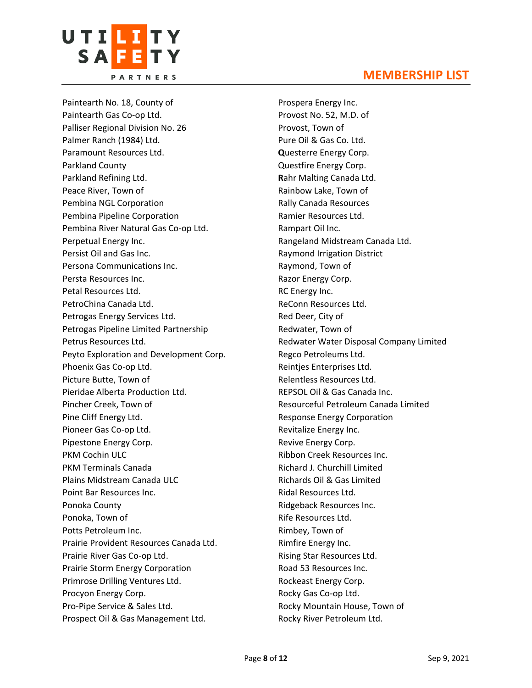

Paintearth No. 18, County of Paintearth Gas Co-op Ltd. Palliser Regional Division No. 26 Palmer Ranch (1984) Ltd. Paramount Resources Ltd. Parkland County Parkland Refining Ltd. Peace River, Town of Pembina NGL Corporation Pembina Pipeline Corporation Pembina River Natural Gas Co-op Ltd. Perpetual Energy Inc. Persist Oil and Gas Inc. Persona Communications Inc. Persta Resources Inc. Petal Resources Ltd. PetroChina Canada Ltd. Petrogas Energy Services Ltd. Petrogas Pipeline Limited Partnership Petrus Resources Ltd. Peyto Exploration and Development Corp. Phoenix Gas Co-op Ltd. Picture Butte, Town of Pieridae Alberta Production Ltd. Pincher Creek, Town of Pine Cliff Energy Ltd. Pioneer Gas Co-op Ltd. Pipestone Energy Corp. PKM Cochin ULC PKM Terminals Canada Plains Midstream Canada ULC Point Bar Resources Inc. Ponoka County Ponoka, Town of Potts Petroleum Inc. Prairie Provident Resources Canada Ltd. Prairie River Gas Co-op Ltd. Prairie Storm Energy Corporation Primrose Drilling Ventures Ltd. Procyon Energy Corp. Pro-Pipe Service & Sales Ltd. Prospect Oil & Gas Management Ltd.

Prospera Energy Inc. Provost No. 52, M.D. of Provost, Town of Pure Oil & Gas Co. Ltd. **Q**uesterre Energy Corp. Questfire Energy Corp. **R**ahr Malting Canada Ltd. Rainbow Lake, Town of Rally Canada Resources Ramier Resources Ltd. Rampart Oil Inc. Rangeland Midstream Canada Ltd. Raymond Irrigation District Raymond, Town of Razor Energy Corp. RC Energy Inc. ReConn Resources Ltd. Red Deer, City of Redwater, Town of Redwater Water Disposal Company Limited Regco Petroleums Ltd. Reintjes Enterprises Ltd. Relentless Resources Ltd. REPSOL Oil & Gas Canada Inc. Resourceful Petroleum Canada Limited Response Energy Corporation Revitalize Energy Inc. Revive Energy Corp. Ribbon Creek Resources Inc. Richard J. Churchill Limited Richards Oil & Gas Limited Ridal Resources Ltd. Ridgeback Resources Inc. Rife Resources Ltd. Rimbey, Town of Rimfire Energy Inc. Rising Star Resources Ltd. Road 53 Resources Inc. Rockeast Energy Corp. Rocky Gas Co-op Ltd. Rocky Mountain House, Town of Rocky River Petroleum Ltd.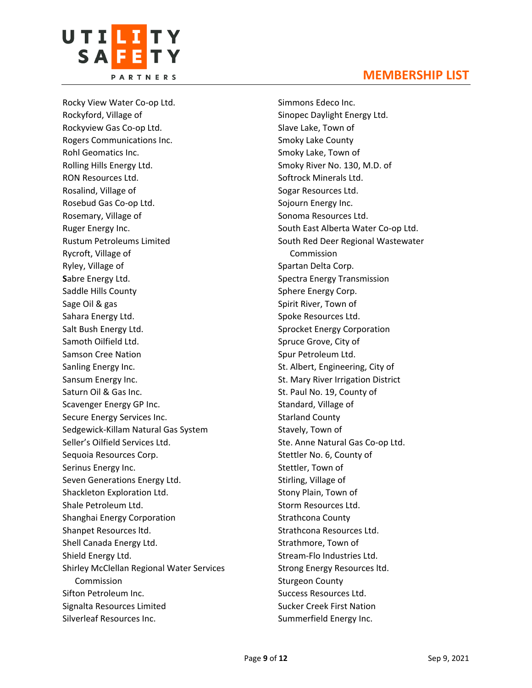

Rocky View Water Co-op Ltd. Rockyford, Village of Rockyview Gas Co-op Ltd. Rogers Communications Inc. Rohl Geomatics Inc. Rolling Hills Energy Ltd. RON Resources Ltd. Rosalind, Village of Rosebud Gas Co-op Ltd. Rosemary, Village of Ruger Energy Inc. Rustum Petroleums Limited Rycroft, Village of Ryley, Village of **S**abre Energy Ltd. Saddle Hills County Sage Oil & gas Sahara Energy Ltd. Salt Bush Energy Ltd. Samoth Oilfield Ltd. Samson Cree Nation Sanling Energy Inc. Sansum Energy Inc. Saturn Oil & Gas Inc. Scavenger Energy GP Inc. Secure Energy Services Inc. Sedgewick-Killam Natural Gas System Seller's Oilfield Services Ltd. Sequoia Resources Corp. Serinus Energy Inc. Seven Generations Energy Ltd. Shackleton Exploration Ltd. Shale Petroleum Ltd. Shanghai Energy Corporation Shanpet Resources ltd. Shell Canada Energy Ltd. Shield Energy Ltd. Shirley McClellan Regional Water Services Commission Sifton Petroleum Inc. Signalta Resources Limited Silverleaf Resources Inc.

Simmons Edeco Inc. Sinopec Daylight Energy Ltd. Slave Lake, Town of Smoky Lake County Smoky Lake, Town of Smoky River No. 130, M.D. of Softrock Minerals Ltd. Sogar Resources Ltd. Sojourn Energy Inc. Sonoma Resources Ltd. South East Alberta Water Co-op Ltd. South Red Deer Regional Wastewater Commission Spartan Delta Corp. Spectra Energy Transmission Sphere Energy Corp. Spirit River, Town of Spoke Resources Ltd. Sprocket Energy Corporation Spruce Grove, City of Spur Petroleum Ltd. St. Albert, Engineering, City of St. Mary River Irrigation District St. Paul No. 19, County of Standard, Village of Starland County Stavely, Town of Ste. Anne Natural Gas Co-op Ltd. Stettler No. 6, County of Stettler, Town of Stirling, Village of Stony Plain, Town of Storm Resources Ltd. Strathcona County Strathcona Resources Ltd. Strathmore, Town of Stream-Flo Industries Ltd. Strong Energy Resources ltd. Sturgeon County Success Resources Ltd. Sucker Creek First Nation Summerfield Energy Inc.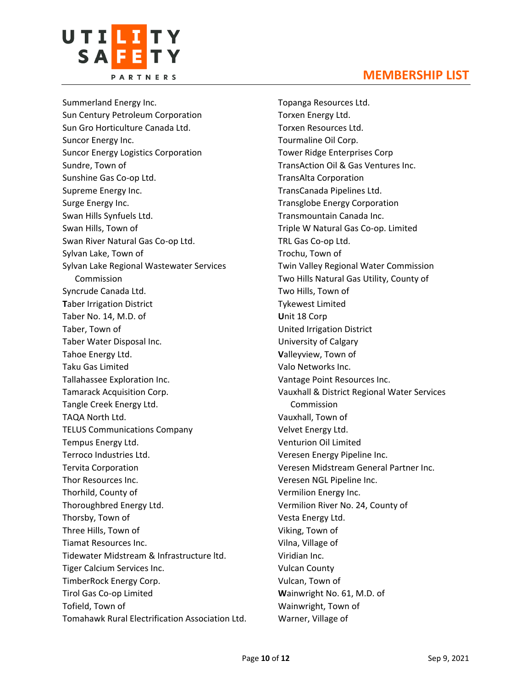

Summerland Energy Inc. Sun Century Petroleum Corporation Sun Gro Horticulture Canada Ltd. Suncor Energy Inc. Suncor Energy Logistics Corporation Sundre, Town of Sunshine Gas Co-op Ltd. Supreme Energy Inc. Surge Energy Inc. Swan Hills Synfuels Ltd. Swan Hills, Town of Swan River Natural Gas Co-op Ltd. Sylvan Lake, Town of Sylvan Lake Regional Wastewater Services Commission Syncrude Canada Ltd. **T**aber Irrigation District Taber No. 14, M.D. of Taber, Town of Taber Water Disposal Inc. Tahoe Energy Ltd. Taku Gas Limited Tallahassee Exploration Inc. Tamarack Acquisition Corp. Tangle Creek Energy Ltd. TAQA North Ltd. TELUS Communications Company Tempus Energy Ltd. Terroco Industries Ltd. Tervita Corporation Thor Resources Inc. Thorhild, County of Thoroughbred Energy Ltd. Thorsby, Town of Three Hills, Town of Tiamat Resources Inc. Tidewater Midstream & Infrastructure ltd. Tiger Calcium Services Inc. TimberRock Energy Corp. Tirol Gas Co-op Limited Tofield, Town of Tomahawk Rural Electrification Association Ltd.

Topanga Resources Ltd. Torxen Energy Ltd. Torxen Resources Ltd. Tourmaline Oil Corp. Tower Ridge Enterprises Corp TransAction Oil & Gas Ventures Inc. TransAlta Corporation TransCanada Pipelines Ltd. Transglobe Energy Corporation Transmountain Canada Inc. Triple W Natural Gas Co-op. Limited TRL Gas Co-op Ltd. Trochu, Town of Twin Valley Regional Water Commission Two Hills Natural Gas Utility, County of Two Hills, Town of Tykewest Limited **U**nit 18 Corp United Irrigation District University of Calgary **V**alleyview, Town of Valo Networks Inc. Vantage Point Resources Inc. Vauxhall & District Regional Water Services Commission Vauxhall, Town of Velvet Energy Ltd. Venturion Oil Limited Veresen Energy Pipeline Inc. Veresen Midstream General Partner Inc. Veresen NGL Pipeline Inc. Vermilion Energy Inc. Vermilion River No. 24, County of Vesta Energy Ltd. Viking, Town of Vilna, Village of Viridian Inc. Vulcan County Vulcan, Town of **W**ainwright No. 61, M.D. of Wainwright, Town of Warner, Village of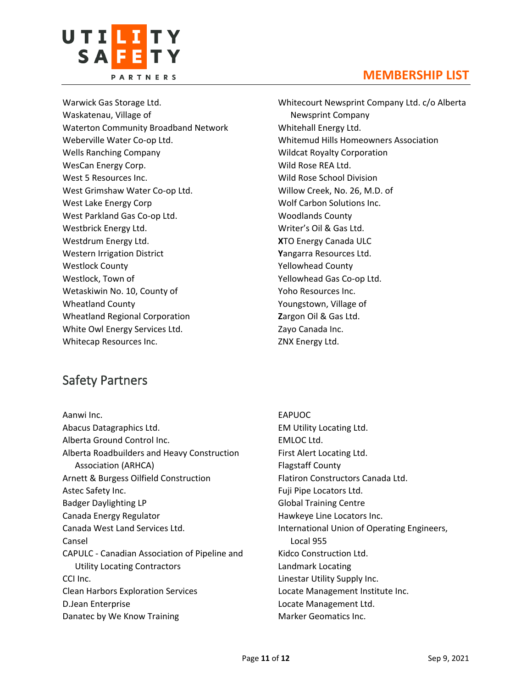

Warwick Gas Storage Ltd. Waskatenau, Village of Waterton Community Broadband Network Weberville Water Co-op Ltd. Wells Ranching Company WesCan Energy Corp. West 5 Resources Inc. West Grimshaw Water Co-op Ltd. West Lake Energy Corp West Parkland Gas Co-op Ltd. Westbrick Energy Ltd. Westdrum Energy Ltd. Western Irrigation District Westlock County Westlock, Town of Wetaskiwin No. 10, County of Wheatland County Wheatland Regional Corporation White Owl Energy Services Ltd. Whitecap Resources Inc.

Whitecourt Newsprint Company Ltd. c/o Alberta Newsprint Company Whitehall Energy Ltd. Whitemud Hills Homeowners Association Wildcat Royalty Corporation Wild Rose REA Ltd. Wild Rose School Division Willow Creek, No. 26, M.D. of Wolf Carbon Solutions Inc. Woodlands County Writer's Oil & Gas Ltd. **X**TO Energy Canada ULC **Y**angarra Resources Ltd. Yellowhead County Yellowhead Gas Co-op Ltd. Yoho Resources Inc. Youngstown, Village of **Z**argon Oil & Gas Ltd. Zayo Canada Inc. ZNX Energy Ltd.

# Safety Partners

Aanwi Inc. Abacus Datagraphics Ltd. Alberta Ground Control Inc. Alberta Roadbuilders and Heavy Construction Association (ARHCA) Arnett & Burgess Oilfield Construction Astec Safety Inc. Badger Daylighting LP Canada Energy Regulator Canada West Land Services Ltd. Cansel CAPULC - Canadian Association of Pipeline and Utility Locating Contractors CCI Inc. Clean Harbors Exploration Services D.Jean Enterprise Danatec by We Know Training

#### EAPUOC EM Utility Locating Ltd. EMLOC Ltd. First Alert Locating Ltd. Flagstaff County Flatiron Constructors Canada Ltd. Fuji Pipe Locators Ltd. Global Training Centre Hawkeye Line Locators Inc. International Union of Operating Engineers, Local 955 Kidco Construction Ltd. Landmark Locating Linestar Utility Supply Inc. Locate Management Institute Inc. Locate Management Ltd. Marker Geomatics Inc.